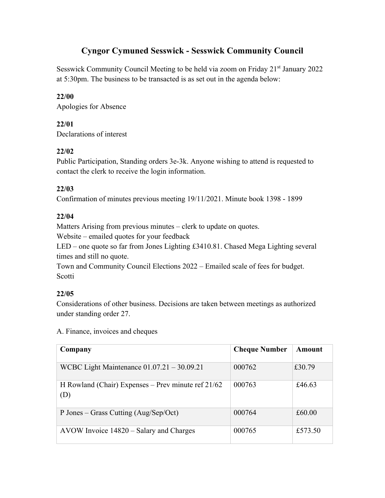# **Cyngor Cymuned Sesswick - Sesswick Community Council**

Sesswick Community Council Meeting to be held via zoom on Friday 21<sup>st</sup> January 2022 at 5:30pm. The business to be transacted is as set out in the agenda below:

### **22/00**

Apologies for Absence

## **22/01**

Declarations of interest

## **22/02**

Public Participation, Standing orders 3e-3k. Anyone wishing to attend is requested to contact the clerk to receive the login information.

## **22/03**

Confirmation of minutes previous meeting 19/11/2021. Minute book 1398 - 1899

## **22/04**

Matters Arising from previous minutes – clerk to update on quotes.

Website – emailed quotes for your feedback

LED – one quote so far from Jones Lighting £3410.81. Chased Mega Lighting several times and still no quote.

Town and Community Council Elections 2022 – Emailed scale of fees for budget. **Scotti** 

## **22/05**

Considerations of other business. Decisions are taken between meetings as authorized under standing order 27.

A. Finance, invoices and cheques

| Company                                                     | <b>Cheque Number</b> | Amount  |
|-------------------------------------------------------------|----------------------|---------|
| WCBC Light Maintenance $01.07.21 - 30.09.21$                | 000762               | £30.79  |
| H Rowland (Chair) Expenses – Prev minute ref $21/62$<br>(D) | 000763               | £46.63  |
| P Jones – Grass Cutting (Aug/Sep/Oct)                       | 000764               | £60.00  |
| AVOW Invoice 14820 – Salary and Charges                     | 000765               | £573.50 |